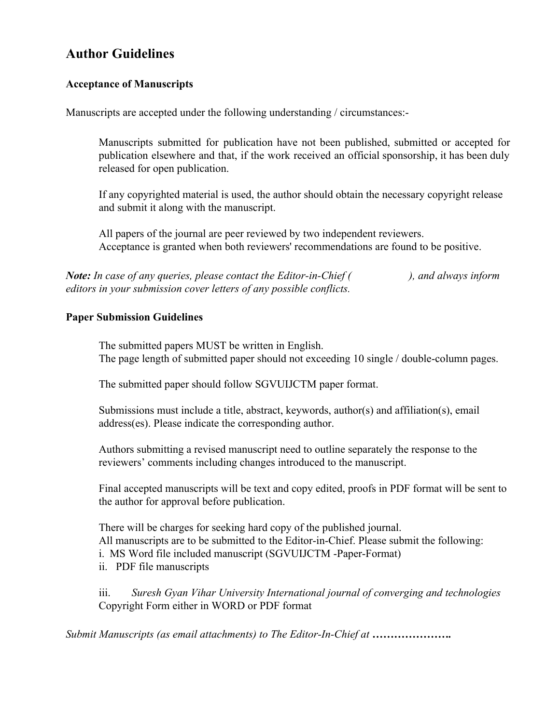## **Author Guidelines**

## **Acceptance of Manuscripts**

Manuscripts are accepted under the following understanding / circumstances:-

Manuscripts submitted for publication have not been published, submitted or accepted for publication elsewhere and that, if the work received an official sponsorship, it has been duly released for open publication.

If any copyrighted material is used, the author should obtain the necessary copyright release and submit it along with the manuscript.

All papers of the journal are peer reviewed by two independent reviewers. Acceptance is granted when both reviewers' recommendations are found to be positive.

*Note: In case of any queries, please contact the Editor-in-Chief ( ), and always inform editors in your submission cover letters of any possible conflicts.*

## **Paper Submission Guidelines**

The submitted papers MUST be written in English. The page length of submitted paper should not exceeding 10 single / double-column pages.

The submitted paper should follow SGVUIJCTM paper format.

Submissions must include a title, abstract, keywords, author(s) and affiliation(s), email address(es). Please indicate the corresponding author.

Authors submitting a revised manuscript need to outline separately the response to the reviewers' comments including changes introduced to the manuscript.

Final accepted manuscripts will be text and copy edited, proofs in PDF format will be sent to the author for approval before publication.

There will be charges for seeking hard copy of the published journal. All manuscripts are to be submitted to the Editor-in-Chief. Please submit the following: i. MS Word file included manuscript (SGVUIJCTM -Paper-Format) ii. PDF file manuscripts

iii. *Suresh Gyan Vihar University International journal of converging and technologies* Copyright Form either in WORD or PDF format

*Submit Manuscripts (as email attachments) to The Editor-In-Chief at ....................*